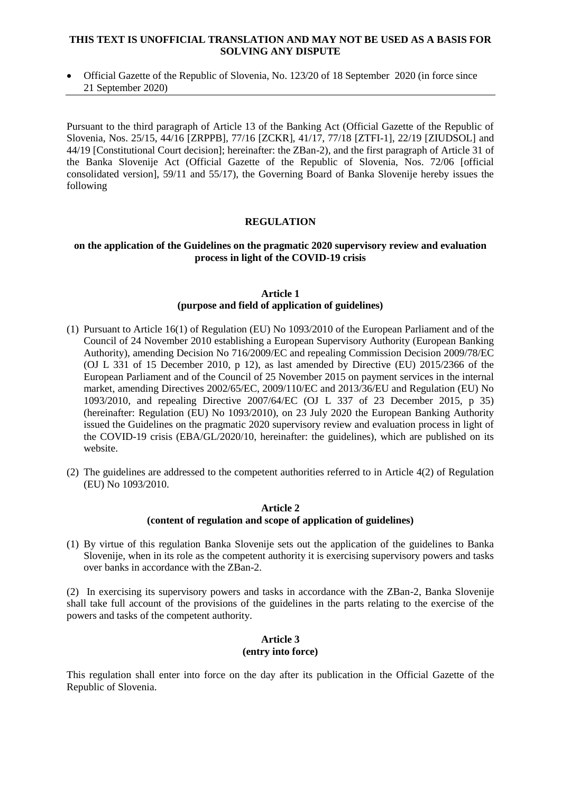## **THIS TEXT IS UNOFFICIAL TRANSLATION AND MAY NOT BE USED AS A BASIS FOR SOLVING ANY DISPUTE**

 Official Gazette of the Republic of Slovenia, No. 123/20 of 18 September 2020 (in force since 21 September 2020)

Pursuant to the third paragraph of Article 13 of the Banking Act (Official Gazette of the Republic of Slovenia, Nos. 25/15, 44/16 [ZRPPB], 77/16 [ZCKR], 41/17, 77/18 [ZTFI-1], 22/19 [ZIUDSOL] and 44/19 [Constitutional Court decision]; hereinafter: the ZBan-2), and the first paragraph of Article 31 of the Banka Slovenije Act (Official Gazette of the Republic of Slovenia, Nos. 72/06 [official consolidated version], 59/11 and 55/17), the Governing Board of Banka Slovenije hereby issues the following

# **REGULATION**

## **on the application of the Guidelines on the pragmatic 2020 supervisory review and evaluation process in light of the COVID-19 crisis**

## **Article 1 (purpose and field of application of guidelines)**

- (1) Pursuant to Article 16(1) of Regulation (EU) No 1093/2010 of the European Parliament and of the Council of 24 November 2010 establishing a European Supervisory Authority (European Banking Authority), amending Decision No 716/2009/EC and repealing Commission Decision 2009/78/EC (OJ L 331 of 15 December 2010, p 12), as last amended by Directive (EU) 2015/2366 of the European Parliament and of the Council of 25 November 2015 on payment services in the internal market, amending Directives 2002/65/EC, 2009/110/EC and 2013/36/EU and Regulation (EU) No 1093/2010, and repealing Directive 2007/64/EC (OJ L 337 of 23 December 2015, p 35) (hereinafter: Regulation (EU) No 1093/2010), on 23 July 2020 the European Banking Authority issued the Guidelines on the pragmatic 2020 supervisory review and evaluation process in light of the COVID-19 crisis (EBA/GL/2020/10, hereinafter: the guidelines), which are published on its website.
- (2) The guidelines are addressed to the competent authorities referred to in Article 4(2) of Regulation (EU) No 1093/2010.

#### **Article 2 (content of regulation and scope of application of guidelines)**

(1) By virtue of this regulation Banka Slovenije sets out the application of the guidelines to Banka Slovenije, when in its role as the competent authority it is exercising supervisory powers and tasks over banks in accordance with the ZBan-2.

(2) In exercising its supervisory powers and tasks in accordance with the ZBan-2, Banka Slovenije shall take full account of the provisions of the guidelines in the parts relating to the exercise of the powers and tasks of the competent authority.

#### **Article 3 (entry into force)**

This regulation shall enter into force on the day after its publication in the Official Gazette of the Republic of Slovenia.